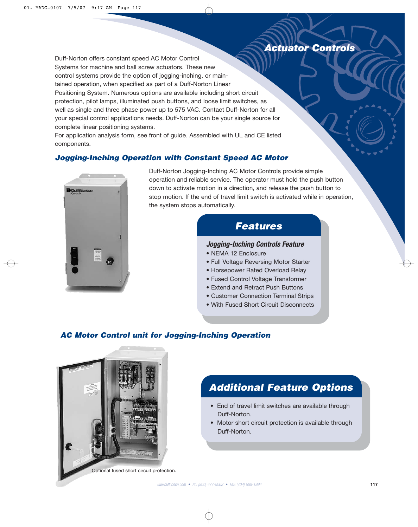# *Actuator Controls Actuator Controls*

Duff-Norton offers constant speed AC Motor Control Systems for machine and ball screw actuators. These new control systems provide the option of jogging-inching, or maintained operation, when specified as part of a Duff-Norton Linear Positioning System. Numerous options are available including short circuit protection, pilot lamps, illuminated push buttons, and loose limit switches, as well as single and three phase power up to 575 VAC. Contact Duff-Norton for all your special control applications needs. Duff-Norton can be your single source for complete linear positioning systems.

For application analysis form, see front of guide. Assembled with UL and CE listed components.

### **Jogging-Inching Operation with Constant Speed AC Motor**



Duff-Norton Jogging-Inching AC Motor Controls provide simple operation and reliable service. The operator must hold the push button down to activate motion in a direction, and release the push button to stop motion. If the end of travel limit switch is activated while in operation, the system stops automatically.

# **Features**

### **Jogging-Inching Controls Feature**

- NEMA 12 Enclosure
- Full Voltage Reversing Motor Starter
- Horsepower Rated Overload Relay
- Fused Control Voltage Transformer
- Extend and Retract Push Buttons
- Customer Connection Terminal Strips
- With Fused Short Circuit Disconnects

### **AC Motor Control unit for Jogging-Inching Operation**



# **Additional Feature Options**

- End of travel limit switches are available through Duff-Norton.
- Motor short circuit protection is available through Duff-Norton.

Optional fused short circuit protection.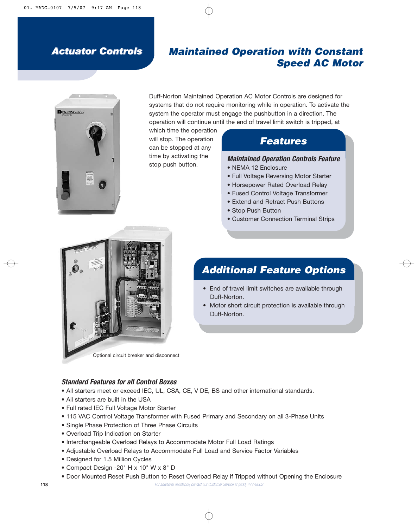# *Actuator Controls Actuator Controls*

## **Maintained Operation with Constant Speed AC Motor**



Duff-Norton Maintained Operation AC Motor Controls are designed for systems that do not require monitoring while in operation. To activate the system the operator must engage the pushbutton in a direction. The operation will continue until the end of travel limit switch is tripped, at

which time the operation will stop. The operation can be stopped at any time by activating the stop push button.

# **Features**

### **Maintained Operation Controls Feature**

- NEMA 12 Enclosure
- Full Voltage Reversing Motor Starter
- Horsepower Rated Overload Relay
- Fused Control Voltage Transformer
- Extend and Retract Push Buttons
- Stop Push Button
- Customer Connection Terminal Strips



# **Additional Feature Options**

- End of travel limit switches are available through Duff-Norton.
- Motor short circuit protection is available through Duff-Norton.

**Standard Features for all Control Boxes** 

- All starters meet or exceed IEC, UL, CSA, CE, V DE, BS and other international standards.
- All starters are built in the USA
- Full rated IEC Full Voltage Motor Starter
- 115 VAC Control Voltage Transformer with Fused Primary and Secondary on all 3-Phase Units
- Single Phase Protection of Three Phase Circuits
- Overload Trip Indication on Starter
- Interchangeable Overload Relays to Accommodate Motor Full Load Ratings
- Adjustable Overload Relays to Accommodate Full Load and Service Factor Variables
- Designed for 1.5 Million Cycles
- Compact Design -20" H x 10" W x 8" D
- Door Mounted Reset Push Button to Reset Overload Relay if Tripped without Opening the Enclosure